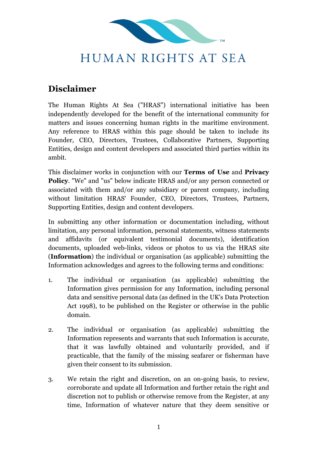

## HUMAN RIGHTS AT SEA

## **Disclaimer**

The Human Rights At Sea ("HRAS") international initiative has been independently developed for the benefit of the international community for matters and issues concerning human rights in the maritime environment. Any reference to HRAS within this page should be taken to include its Founder, CEO, Directors, Trustees, Collaborative Partners, Supporting Entities, design and content developers and associated third parties within its ambit.

This disclaimer works in conjunction with our **Terms of Use** and **Privacy Policy**. "We" and "us" below indicate HRAS and/or any person connected or associated with them and/or any subsidiary or parent company, including without limitation HRAS' Founder, CEO, Directors, Trustees, Partners, Supporting Entities, design and content developers.

In submitting any other information or documentation including, without limitation, any personal information, personal statements, witness statements and affidavits (or equivalent testimonial documents), identification documents, uploaded web-links, videos or photos to us via the HRAS site (**Information**) the individual or organisation (as applicable) submitting the Information acknowledges and agrees to the following terms and conditions:

- 1. The individual or organisation (as applicable) submitting the Information gives permission for any Information, including personal data and sensitive personal data (as defined in the UK's Data Protection Act 1998), to be published on the Register or otherwise in the public domain.
- 2. The individual or organisation (as applicable) submitting the Information represents and warrants that such Information is accurate, that it was lawfully obtained and voluntarily provided, and if practicable, that the family of the missing seafarer or fisherman have given their consent to its submission.
- 3. We retain the right and discretion, on an on-going basis, to review, corroborate and update all Information and further retain the right and discretion not to publish or otherwise remove from the Register, at any time, Information of whatever nature that they deem sensitive or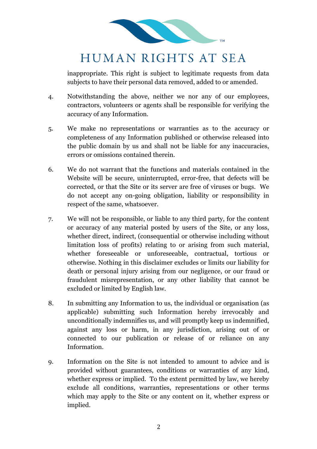

## HUMAN RIGHTS AT SEA

inappropriate. This right is subject to legitimate requests from data subjects to have their personal data removed, added to or amended.

- 4. Notwithstanding the above, neither we nor any of our employees, contractors, volunteers or agents shall be responsible for verifying the accuracy of any Information.
- 5. We make no representations or warranties as to the accuracy or completeness of any Information published or otherwise released into the public domain by us and shall not be liable for any inaccuracies, errors or omissions contained therein.
- 6. We do not warrant that the functions and materials contained in the Website will be secure, uninterrupted, error-free, that defects will be corrected, or that the Site or its server are free of viruses or bugs. We do not accept any on-going obligation, liability or responsibility in respect of the same, whatsoever.
- 7. We will not be responsible, or liable to any third party, for the content or accuracy of any material posted by users of the Site, or any loss, whether direct, indirect, (consequential or otherwise including without limitation loss of profits) relating to or arising from such material, whether foreseeable or unforeseeable, contractual, tortious or otherwise. Nothing in this disclaimer excludes or limits our liability for death or personal injury arising from our negligence, or our fraud or fraudulent misrepresentation, or any other liability that cannot be excluded or limited by English law.
- 8. In submitting any Information to us, the individual or organisation (as applicable) submitting such Information hereby irrevocably and unconditionally indemnifies us, and will promptly keep us indemnified, against any loss or harm, in any jurisdiction, arising out of or connected to our publication or release of or reliance on any Information.
- 9. Information on the Site is not intended to amount to advice and is provided without guarantees, conditions or warranties of any kind, whether express or implied. To the extent permitted by law, we hereby exclude all conditions, warranties, representations or other terms which may apply to the Site or any content on it, whether express or implied.